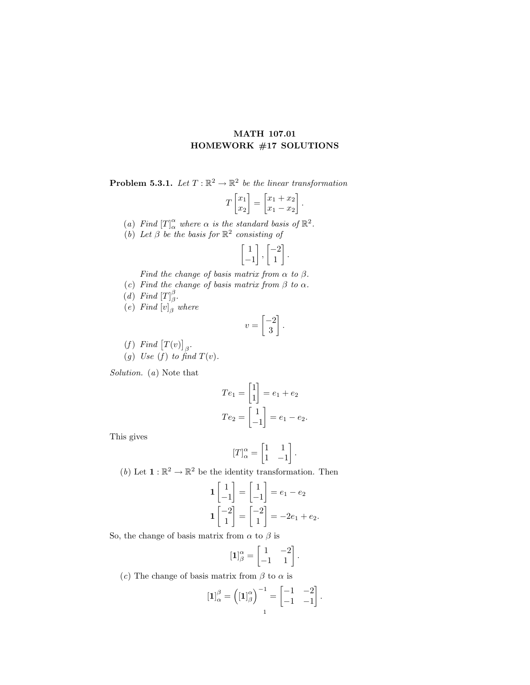## MATH 107.01 HOMEWORK #17 SOLUTIONS

**Problem 5.3.1.** Let  $T : \mathbb{R}^2 \to \mathbb{R}^2$  be the linear transformation

$$
T\begin{bmatrix} x_1 \\ x_2 \end{bmatrix} = \begin{bmatrix} x_1 + x_2 \\ x_1 - x_2 \end{bmatrix}.
$$

- (a) Find  $[T]_{\alpha}^{\alpha}$  where  $\alpha$  is the standard basis of  $\mathbb{R}^2$ .
- (b) Let  $\beta$  be the basis for  $\mathbb{R}^2$  consisting of

$$
\begin{bmatrix} 1 \\ -1 \end{bmatrix}, \begin{bmatrix} -2 \\ 1 \end{bmatrix}.
$$

Find the change of basis matrix from  $\alpha$  to  $\beta$ .

- (c) Find the change of basis matrix from  $\beta$  to  $\alpha$ .
- (d) Find  $[T]_{\beta}^{\beta}$ .
- $(e)$  Find  $[v]_{\beta}$  where

$$
v = \begin{bmatrix} -2 \\ 3 \end{bmatrix}.
$$

(f) Find  $[T(v)]_{\beta}$ . (g) Use (f) to find  $T(v)$ .

Solution. (a) Note that

$$
Te_1 = \begin{bmatrix} 1 \\ 1 \end{bmatrix} = e_1 + e_2
$$

$$
Te_2 = \begin{bmatrix} 1 \\ -1 \end{bmatrix} = e_1 - e_2.
$$

This gives

$$
[T]_{\alpha}^{\alpha} = \begin{bmatrix} 1 & 1 \\ 1 & -1 \end{bmatrix}.
$$

(b) Let  $\mathbf{1} : \mathbb{R}^2 \to \mathbb{R}^2$  be the identity transformation. Then

$$
\mathbf{1}\begin{bmatrix} 1 \\ -1 \end{bmatrix} = \begin{bmatrix} 1 \\ -1 \end{bmatrix} = e_1 - e_2
$$

$$
\mathbf{1}\begin{bmatrix} -2 \\ 1 \end{bmatrix} = \begin{bmatrix} -2 \\ 1 \end{bmatrix} = -2e_1 + e_2.
$$

So, the change of basis matrix from  $\alpha$  to  $\beta$  is

$$
\left[\mathbf{1}\right]_{\beta}^{\alpha} = \begin{bmatrix} 1 & -2 \\ -1 & 1 \end{bmatrix}.
$$

(c) The change of basis matrix from  $\beta$  to  $\alpha$  is

$$
\left[\mathbf{1}\right]_{\alpha}^{\beta} = \left(\left[\mathbf{1}\right]_{\beta}^{\alpha}\right)^{-1} = \begin{bmatrix} -1 & -2\\ -1 & -1 \end{bmatrix}
$$

.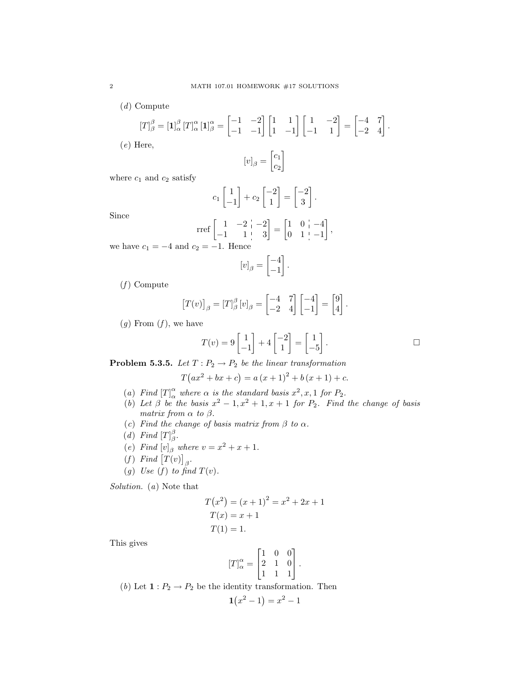(d) Compute

$$
[T]_{\beta}^{\beta} = \left[\mathbf{1}\right]_{\alpha}^{\beta} [T]_{\alpha}^{\alpha} \left[\mathbf{1}\right]_{\beta}^{\alpha} = \begin{bmatrix} -1 & -2 \\ -1 & -1 \end{bmatrix} \begin{bmatrix} 1 & 1 \\ 1 & -1 \end{bmatrix} \begin{bmatrix} 1 & -2 \\ -1 & 1 \end{bmatrix} = \begin{bmatrix} -4 & 7 \\ -2 & 4 \end{bmatrix}.
$$

(e) Here,

$$
[v]_{\beta} = \begin{bmatrix} c_1 \\ c_2 \end{bmatrix}
$$

where  $c_1$  and  $c_2$  satisfy

$$
c_1 \begin{bmatrix} 1 \\ -1 \end{bmatrix} + c_2 \begin{bmatrix} -2 \\ 1 \end{bmatrix} = \begin{bmatrix} -2 \\ 3 \end{bmatrix}.
$$

Since

$$
\text{rref}\begin{bmatrix} 1 & -2 & -2 \\ -1 & 1 & 3 \end{bmatrix} = \begin{bmatrix} 1 & 0 & -4 \\ 0 & 1 & -1 \end{bmatrix},
$$
  

$$
P = -1 \text{ Hence}
$$

we have  $c_1 = -4$  and  $c_2$ 

$$
[v]_{\beta} = \begin{bmatrix} -4 \\ -1 \end{bmatrix}.
$$

 $(f)$  Compute

$$
[T(v)]_{\beta} = [T]_{\beta}^{\beta} [v]_{\beta} = \begin{bmatrix} -4 & 7 \\ -2 & 4 \end{bmatrix} \begin{bmatrix} -4 \\ -1 \end{bmatrix} = \begin{bmatrix} 9 \\ 4 \end{bmatrix}.
$$

 $(g)$  From  $(f)$ , we have

$$
T(v) = 9\begin{bmatrix} 1 \\ -1 \end{bmatrix} + 4\begin{bmatrix} -2 \\ 1 \end{bmatrix} = \begin{bmatrix} 1 \\ -5 \end{bmatrix}.
$$

**Problem 5.3.5.** Let  $T: P_2 \to P_2$  be the linear transformation

$$
T(ax^{2} + bx + c) = a(x + 1)^{2} + b(x + 1) + c.
$$

- (a) Find  $[T]_{\alpha}^{\alpha}$  where  $\alpha$  is the standard basis  $x^2, x, 1$  for  $P_2$ .
- (b) Let  $\beta$  be the basis  $x^2 1$ ,  $x^2 + 1$ ,  $x + 1$  for  $P_2$ . Find the change of basis matrix from  $\alpha$  to  $\beta$ .
- (c) Find the change of basis matrix from  $\beta$  to  $\alpha$ .
- (d) Find  $[T]_{\beta}^{\beta}$ .
- (e) Find  $[v]_{\beta}$  where  $v = x^2 + x + 1$ .
- (f) Find  $[T(v)]_{\beta}$ .
- (g) Use (f) to find  $T(v)$ .

Solution. (a) Note that

$$
T(x2) = (x + 1)2 = x2 + 2x + 1
$$
  
\n
$$
T(x) = x + 1
$$
  
\n
$$
T(1) = 1.
$$

This gives

$$
[T]_{\alpha}^{\alpha} = \begin{bmatrix} 1 & 0 & 0 \\ 2 & 1 & 0 \\ 1 & 1 & 1 \end{bmatrix}.
$$

(b) Let  $\mathbf{1}: P_2 \to P_2$  be the identity transformation. Then

$$
\mathbf{1}(x^2 - 1) = x^2 - 1
$$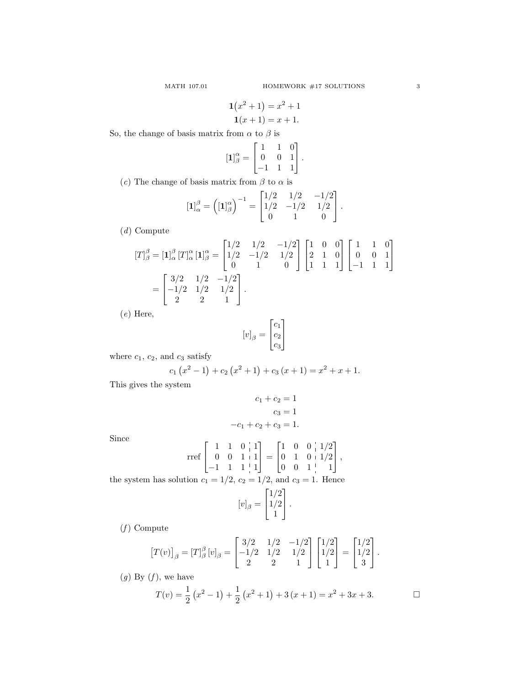$$
1(x2 + 1) = x2 + 1
$$
  

$$
1(x + 1) = x + 1.
$$

So, the change of basis matrix from  $\alpha$  to  $\beta$  is

$$
\begin{bmatrix} 1 \end{bmatrix}_{\beta}^{\alpha} = \begin{bmatrix} 1 & 1 & 0 \\ 0 & 0 & 1 \\ -1 & 1 & 1 \end{bmatrix}.
$$

(c) The change of basis matrix from  $\beta$  to  $\alpha$  is

$$
\left[\mathbf{1}\right]_{\alpha}^{\beta} = \left(\left[\mathbf{1}\right]_{\beta}^{\alpha}\right)^{-1} = \begin{bmatrix} 1/2 & 1/2 & -1/2 \\ 1/2 & -1/2 & 1/2 \\ 0 & 1 & 0 \end{bmatrix}.
$$

(d) Compute

$$
[T]_{\beta}^{\beta} = [\mathbf{1}]_{\alpha}^{\beta} [T]_{\alpha}^{\alpha} [\mathbf{1}]_{\beta}^{\alpha} = \begin{bmatrix} 1/2 & 1/2 & -1/2 \\ 1/2 & -1/2 & 1/2 \\ 0 & 1 & 0 \end{bmatrix} \begin{bmatrix} 1 & 0 & 0 \\ 2 & 1 & 0 \\ 1 & 1 & 1 \end{bmatrix} \begin{bmatrix} 1 & 1 & 0 \\ 0 & 0 & 1 \\ -1 & 1 & 1 \end{bmatrix}
$$

$$
= \begin{bmatrix} 3/2 & 1/2 & -1/2 \\ -1/2 & 1/2 & 1/2 \\ 2 & 2 & 1 \end{bmatrix}.
$$

(e) Here,

$$
[v]_{\beta} = \begin{bmatrix} c_1 \\ c_2 \\ c_3 \end{bmatrix}
$$

where  $c_1$ ,  $c_2$ , and  $c_3$  satisfy

$$
c_1(x^2 - 1) + c_2(x^2 + 1) + c_3(x + 1) = x^2 + x + 1.
$$

This gives the system

$$
c_1 + c_2 = 1
$$

$$
c_3 = 1
$$

$$
-c_1 + c_2 + c_3 = 1.
$$

Since

$$
\text{rref}\begin{bmatrix} 1 & 1 & 0 & 1 \\ 0 & 0 & 1 & 1 \\ -1 & 1 & 1 & 1 \end{bmatrix} = \begin{bmatrix} 1 & 0 & 0 & 1/2 \\ 0 & 1 & 0 & 1/2 \\ 0 & 0 & 1 & 1 \end{bmatrix},
$$

the system has solution  $c_1 = 1/2$ ,  $c_2 = 1/2$ , and  $c_3 = 1$ . Hence

$$
[v]_{\beta} = \begin{bmatrix} 1/2 \\ 1/2 \\ 1 \end{bmatrix}.
$$

 $(f)$  Compute

$$
[T(v)]_{\beta} = [T]_{\beta}^{\beta} [v]_{\beta} = \begin{bmatrix} 3/2 & 1/2 & -1/2 \\ -1/2 & 1/2 & 1/2 \\ 2 & 2 & 1 \end{bmatrix} \begin{bmatrix} 1/2 \\ 1/2 \\ 1 \end{bmatrix} = \begin{bmatrix} 1/2 \\ 1/2 \\ 3 \end{bmatrix}.
$$

 $(g)$  By  $(f)$ , we have

$$
T(v) = \frac{1}{2} (x^2 - 1) + \frac{1}{2} (x^2 + 1) + 3(x + 1) = x^2 + 3x + 3.
$$

 $\Box$